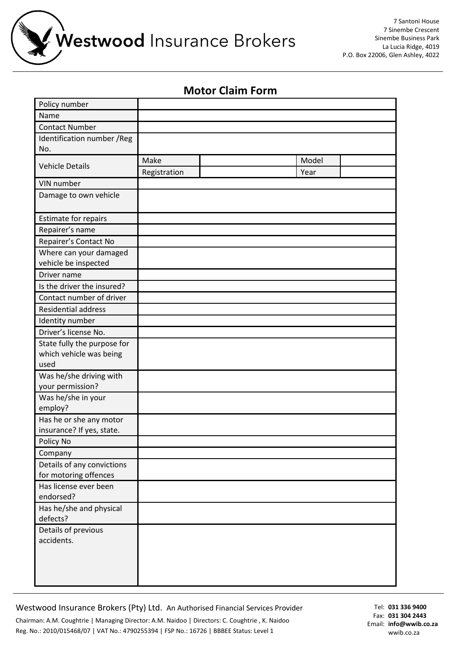Westwood Insurance Brokers

7 Santoni House 7 Sinembe Crescent Sinembe Business Park La Lucia Ridge, 4019 P.O. Box 22006, Glen Ashley, 4022

## **Motor Claim Form**

| Policy number                                  |              |       |  |
|------------------------------------------------|--------------|-------|--|
| Name                                           |              |       |  |
| <b>Contact Number</b>                          |              |       |  |
| Identification number / Reg                    |              |       |  |
| No.                                            |              |       |  |
| <b>Vehicle Details</b>                         | Make         | Model |  |
|                                                | Registration | Year  |  |
| VIN number                                     |              |       |  |
| Damage to own vehicle                          |              |       |  |
|                                                |              |       |  |
| Estimate for repairs                           |              |       |  |
| Repairer's name                                |              |       |  |
| Repairer's Contact No                          |              |       |  |
| Where can your damaged                         |              |       |  |
| vehicle be inspected                           |              |       |  |
| Driver name                                    |              |       |  |
| Is the driver the insured?                     |              |       |  |
| Contact number of driver                       |              |       |  |
| <b>Residential address</b>                     |              |       |  |
| Identity number                                |              |       |  |
| Driver's license No.                           |              |       |  |
| State fully the purpose for                    |              |       |  |
| which vehicle was being                        |              |       |  |
| used                                           |              |       |  |
| Was he/she driving with                        |              |       |  |
| your permission?                               |              |       |  |
| Was he/she in your                             |              |       |  |
| employ?                                        |              |       |  |
| Has he or she any motor                        |              |       |  |
| insurance? If yes, state.                      |              |       |  |
| Policy No                                      |              |       |  |
| Company                                        |              |       |  |
| Details of any convictions                     |              |       |  |
| for motoring offences<br>Has license ever been |              |       |  |
| endorsed?                                      |              |       |  |
| Has he/she and physical                        |              |       |  |
| defects?                                       |              |       |  |
| Details of previous                            |              |       |  |
| accidents.                                     |              |       |  |
|                                                |              |       |  |
|                                                |              |       |  |
|                                                |              |       |  |
|                                                |              |       |  |

Westwood Insurance Brokers (Pty) Ltd. An Authorised Financial Services Provider Chairman: A.M. Coughtrie | Managing Director: A.M. Naidoo | Directors: C. Coughtrie , K. Naidoo Reg. No.: 2010/015468/07 | VAT No.: 4790255394 | FSP No.: 16726 | BBBEE Status: Level 1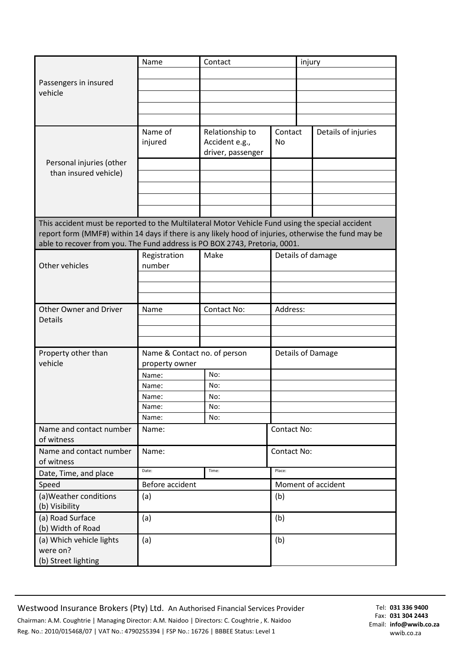| Passengers in insured<br>vehicle<br>Name of<br>Relationship to<br>Contact<br>Details of injuries<br>injured<br>Accident e.g.,<br><b>No</b><br>driver, passenger<br>Personal injuries (other<br>than insured vehicle)<br>able to recover from you. The Fund address is PO BOX 2743, Pretoria, 0001.<br>Registration<br>Make<br>Details of damage<br>Other vehicles<br>number<br>Address:<br><b>Other Owner and Driver</b><br>Contact No:<br>Name<br>Details<br>Property other than<br>Name & Contact no. of person<br>Details of Damage<br>vehicle<br>property owner<br>No:<br>Name:<br>No:<br>Name:<br>Name:<br>No:<br>Name:<br>No:<br>Name:<br>No:<br>Name and contact number<br>Contact No:<br>Name:<br>of witness<br>Name and contact number<br>Contact No:<br>Name: | injury                                                                                                                                                                                                   |  |  |  |  |  |
|-------------------------------------------------------------------------------------------------------------------------------------------------------------------------------------------------------------------------------------------------------------------------------------------------------------------------------------------------------------------------------------------------------------------------------------------------------------------------------------------------------------------------------------------------------------------------------------------------------------------------------------------------------------------------------------------------------------------------------------------------------------------------|----------------------------------------------------------------------------------------------------------------------------------------------------------------------------------------------------------|--|--|--|--|--|
|                                                                                                                                                                                                                                                                                                                                                                                                                                                                                                                                                                                                                                                                                                                                                                         |                                                                                                                                                                                                          |  |  |  |  |  |
|                                                                                                                                                                                                                                                                                                                                                                                                                                                                                                                                                                                                                                                                                                                                                                         |                                                                                                                                                                                                          |  |  |  |  |  |
|                                                                                                                                                                                                                                                                                                                                                                                                                                                                                                                                                                                                                                                                                                                                                                         |                                                                                                                                                                                                          |  |  |  |  |  |
|                                                                                                                                                                                                                                                                                                                                                                                                                                                                                                                                                                                                                                                                                                                                                                         |                                                                                                                                                                                                          |  |  |  |  |  |
|                                                                                                                                                                                                                                                                                                                                                                                                                                                                                                                                                                                                                                                                                                                                                                         |                                                                                                                                                                                                          |  |  |  |  |  |
|                                                                                                                                                                                                                                                                                                                                                                                                                                                                                                                                                                                                                                                                                                                                                                         |                                                                                                                                                                                                          |  |  |  |  |  |
|                                                                                                                                                                                                                                                                                                                                                                                                                                                                                                                                                                                                                                                                                                                                                                         |                                                                                                                                                                                                          |  |  |  |  |  |
|                                                                                                                                                                                                                                                                                                                                                                                                                                                                                                                                                                                                                                                                                                                                                                         |                                                                                                                                                                                                          |  |  |  |  |  |
|                                                                                                                                                                                                                                                                                                                                                                                                                                                                                                                                                                                                                                                                                                                                                                         |                                                                                                                                                                                                          |  |  |  |  |  |
|                                                                                                                                                                                                                                                                                                                                                                                                                                                                                                                                                                                                                                                                                                                                                                         |                                                                                                                                                                                                          |  |  |  |  |  |
|                                                                                                                                                                                                                                                                                                                                                                                                                                                                                                                                                                                                                                                                                                                                                                         |                                                                                                                                                                                                          |  |  |  |  |  |
|                                                                                                                                                                                                                                                                                                                                                                                                                                                                                                                                                                                                                                                                                                                                                                         | This accident must be reported to the Multilateral Motor Vehicle Fund using the special accident<br>report form (MMF#) within 14 days if there is any likely hood of injuries, otherwise the fund may be |  |  |  |  |  |
|                                                                                                                                                                                                                                                                                                                                                                                                                                                                                                                                                                                                                                                                                                                                                                         |                                                                                                                                                                                                          |  |  |  |  |  |
|                                                                                                                                                                                                                                                                                                                                                                                                                                                                                                                                                                                                                                                                                                                                                                         |                                                                                                                                                                                                          |  |  |  |  |  |
|                                                                                                                                                                                                                                                                                                                                                                                                                                                                                                                                                                                                                                                                                                                                                                         |                                                                                                                                                                                                          |  |  |  |  |  |
|                                                                                                                                                                                                                                                                                                                                                                                                                                                                                                                                                                                                                                                                                                                                                                         |                                                                                                                                                                                                          |  |  |  |  |  |
|                                                                                                                                                                                                                                                                                                                                                                                                                                                                                                                                                                                                                                                                                                                                                                         |                                                                                                                                                                                                          |  |  |  |  |  |
|                                                                                                                                                                                                                                                                                                                                                                                                                                                                                                                                                                                                                                                                                                                                                                         |                                                                                                                                                                                                          |  |  |  |  |  |
|                                                                                                                                                                                                                                                                                                                                                                                                                                                                                                                                                                                                                                                                                                                                                                         |                                                                                                                                                                                                          |  |  |  |  |  |
|                                                                                                                                                                                                                                                                                                                                                                                                                                                                                                                                                                                                                                                                                                                                                                         |                                                                                                                                                                                                          |  |  |  |  |  |
|                                                                                                                                                                                                                                                                                                                                                                                                                                                                                                                                                                                                                                                                                                                                                                         |                                                                                                                                                                                                          |  |  |  |  |  |
|                                                                                                                                                                                                                                                                                                                                                                                                                                                                                                                                                                                                                                                                                                                                                                         |                                                                                                                                                                                                          |  |  |  |  |  |
|                                                                                                                                                                                                                                                                                                                                                                                                                                                                                                                                                                                                                                                                                                                                                                         |                                                                                                                                                                                                          |  |  |  |  |  |
|                                                                                                                                                                                                                                                                                                                                                                                                                                                                                                                                                                                                                                                                                                                                                                         |                                                                                                                                                                                                          |  |  |  |  |  |
|                                                                                                                                                                                                                                                                                                                                                                                                                                                                                                                                                                                                                                                                                                                                                                         |                                                                                                                                                                                                          |  |  |  |  |  |
|                                                                                                                                                                                                                                                                                                                                                                                                                                                                                                                                                                                                                                                                                                                                                                         |                                                                                                                                                                                                          |  |  |  |  |  |
|                                                                                                                                                                                                                                                                                                                                                                                                                                                                                                                                                                                                                                                                                                                                                                         |                                                                                                                                                                                                          |  |  |  |  |  |
| of witness                                                                                                                                                                                                                                                                                                                                                                                                                                                                                                                                                                                                                                                                                                                                                              |                                                                                                                                                                                                          |  |  |  |  |  |
| Date:<br>Place:<br>Time:<br>Date, Time, and place                                                                                                                                                                                                                                                                                                                                                                                                                                                                                                                                                                                                                                                                                                                       |                                                                                                                                                                                                          |  |  |  |  |  |
| Before accident<br>Moment of accident<br>Speed                                                                                                                                                                                                                                                                                                                                                                                                                                                                                                                                                                                                                                                                                                                          |                                                                                                                                                                                                          |  |  |  |  |  |
| (a) Weather conditions<br>(b)<br>(a)<br>(b) Visibility                                                                                                                                                                                                                                                                                                                                                                                                                                                                                                                                                                                                                                                                                                                  |                                                                                                                                                                                                          |  |  |  |  |  |
| (a) Road Surface<br>(b)<br>(a)<br>(b) Width of Road                                                                                                                                                                                                                                                                                                                                                                                                                                                                                                                                                                                                                                                                                                                     |                                                                                                                                                                                                          |  |  |  |  |  |
| (a) Which vehicle lights<br>(b)<br>(a)<br>were on?<br>(b) Street lighting                                                                                                                                                                                                                                                                                                                                                                                                                                                                                                                                                                                                                                                                                               |                                                                                                                                                                                                          |  |  |  |  |  |

Westwood Insurance Brokers (Pty) Ltd. An Authorised Financial Services Provider Chairman: A.M. Coughtrie | Managing Director: A.M. Naidoo | Directors: C. Coughtrie , K. Naidoo Reg. No.: 2010/015468/07 | VAT No.: 4790255394 | FSP No.: 16726 | BBBEE Status: Level 1